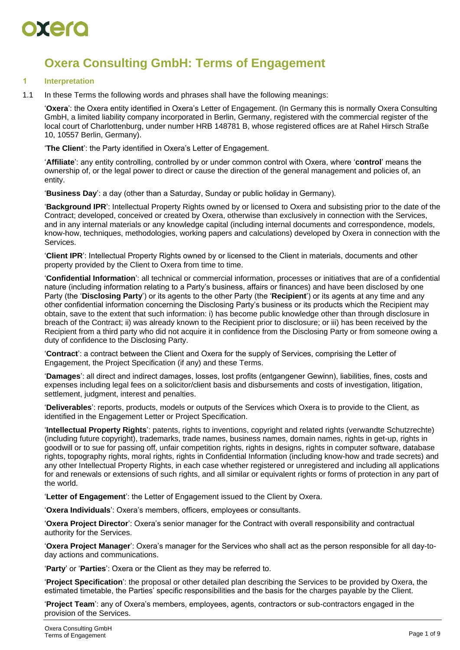

# **Oxera Consulting GmbH: Terms of Engagement**

#### **1 Interpretation**

1.1 In these Terms the following words and phrases shall have the following meanings:

'**Oxera**': the Oxera entity identified in Oxera's Letter of Engagement. (In Germany this is normally Oxera Consulting GmbH, a limited liability company incorporated in Berlin, Germany, registered with the commercial register of the local court of Charlottenburg, under number HRB 148781 B, whose registered offices are at Rahel Hirsch Straße 10, 10557 Berlin, Germany).

'**The Client**': the Party identified in Oxera's Letter of Engagement.

'**Affiliate**': any entity controlling, controlled by or under common control with Oxera, where '**control**' means the ownership of, or the legal power to direct or cause the direction of the general management and policies of, an entity.

'**Business Day**': a day (other than a Saturday, Sunday or public holiday in Germany).

'**Background IPR**': Intellectual Property Rights owned by or licensed to Oxera and subsisting prior to the date of the Contract; developed, conceived or created by Oxera, otherwise than exclusively in connection with the Services, and in any internal materials or any knowledge capital (including internal documents and correspondence, models, know-how, techniques, methodologies, working papers and calculations) developed by Oxera in connection with the Services.

'**Client IPR**': Intellectual Property Rights owned by or licensed to the Client in materials, documents and other property provided by the Client to Oxera from time to time.

'**Confidential Information**': all technical or commercial information, processes or initiatives that are of a confidential nature (including information relating to a Party's business, affairs or finances) and have been disclosed by one Party (the '**Disclosing Party**') or its agents to the other Party (the '**Recipient**') or its agents at any time and any other confidential information concerning the Disclosing Party's business or its products which the Recipient may obtain, save to the extent that such information: i) has become public knowledge other than through disclosure in breach of the Contract; ii) was already known to the Recipient prior to disclosure; or iii) has been received by the Recipient from a third party who did not acquire it in confidence from the Disclosing Party or from someone owing a duty of confidence to the Disclosing Party.

'**Contract**': a contract between the Client and Oxera for the supply of Services, comprising the Letter of Engagement, the Project Specification (if any) and these Terms.

'**Damages**': all direct and indirect damages, losses, lost profits (entgangener Gewinn), liabilities, fines, costs and expenses including legal fees on a solicitor/client basis and disbursements and costs of investigation, litigation, settlement, judgment, interest and penalties.

'**Deliverables**': reports, products, models or outputs of the Services which Oxera is to provide to the Client, as identified in the Engagement Letter or Project Specification.

'**Intellectual Property Rights**': patents, rights to inventions, copyright and related rights (verwandte Schutzrechte) (including future copyright), trademarks, trade names, business names, domain names, rights in get-up, rights in goodwill or to sue for passing off, unfair competition rights, rights in designs, rights in computer software, database rights, topography rights, moral rights, rights in Confidential Information (including know-how and trade secrets) and any other Intellectual Property Rights, in each case whether registered or unregistered and including all applications for and renewals or extensions of such rights, and all similar or equivalent rights or forms of protection in any part of the world.

'**Letter of Engagement**': the Letter of Engagement issued to the Client by Oxera.

'**Oxera Individuals**': Oxera's members, officers, employees or consultants.

'**Oxera Project Director**': Oxera's senior manager for the Contract with overall responsibility and contractual authority for the Services.

'**Oxera Project Manager**': Oxera's manager for the Services who shall act as the person responsible for all day-today actions and communications.

'**Party**' or '**Parties**': Oxera or the Client as they may be referred to.

'**Project Specification**': the proposal or other detailed plan describing the Services to be provided by Oxera, the estimated timetable, the Parties' specific responsibilities and the basis for the charges payable by the Client.

'**Project Team**': any of Oxera's members, employees, agents, contractors or sub-contractors engaged in the provision of the Services.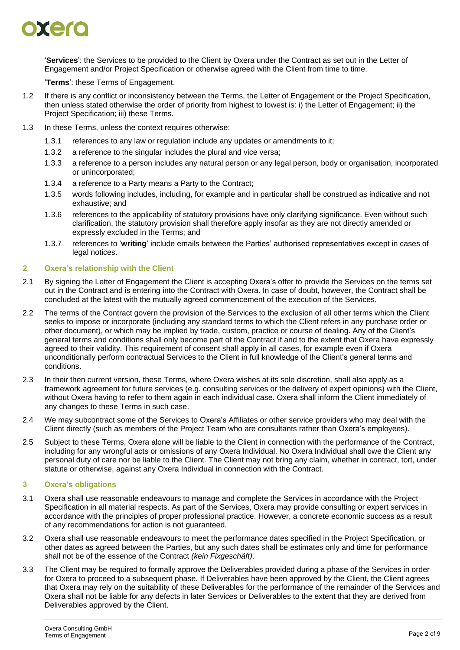

'**Services**': the Services to be provided to the Client by Oxera under the Contract as set out in the Letter of Engagement and/or Project Specification or otherwise agreed with the Client from time to time.

'**Terms**': these Terms of Engagement.

- 1.2 If there is any conflict or inconsistency between the Terms, the Letter of Engagement or the Project Specification, then unless stated otherwise the order of priority from highest to lowest is: i) the Letter of Engagement; ii) the Project Specification; iii) these Terms.
- 1.3 In these Terms, unless the context requires otherwise:
	- 1.3.1 references to any law or regulation include any updates or amendments to it;
	- 1.3.2 a reference to the singular includes the plural and vice versa;
	- 1.3.3 a reference to a person includes any natural person or any legal person, body or organisation, incorporated or unincorporated;
	- 1.3.4 a reference to a Party means a Party to the Contract;
	- 1.3.5 words following includes, including, for example and in particular shall be construed as indicative and not exhaustive; and
	- 1.3.6 references to the applicability of statutory provisions have only clarifying significance. Even without such clarification, the statutory provision shall therefore apply insofar as they are not directly amended or expressly excluded in the Terms; and
	- 1.3.7 references to '**writing**' include emails between the Parties' authorised representatives except in cases of legal notices.

### <span id="page-1-0"></span>**2 Oxera's relationship with the Client**

- 2.1 By signing the Letter of Engagement the Client is accepting Oxera's offer to provide the Services on the terms set out in the Contract and is entering into the Contract with Oxera. In case of doubt, however, the Contract shall be concluded at the latest with the mutually agreed commencement of the execution of the Services.
- 2.2 The terms of the Contract govern the provision of the Services to the exclusion of all other terms which the Client seeks to impose or incorporate (including any standard terms to which the Client refers in any purchase order or other document), or which may be implied by trade, custom, practice or course of dealing. Any of the Client's general terms and conditions shall only become part of the Contract if and to the extent that Oxera have expressly agreed to their validity. This requirement of consent shall apply in all cases, for example even if Oxera unconditionally perform contractual Services to the Client in full knowledge of the Client's general terms and conditions.
- 2.3 In their then current version, these Terms, where Oxera wishes at its sole discretion, shall also apply as a framework agreement for future services (e.g. consulting services or the delivery of expert opinions) with the Client, without Oxera having to refer to them again in each individual case. Oxera shall inform the Client immediately of any changes to these Terms in such case.
- 2.4 We may subcontract some of the Services to Oxera's Affiliates or other service providers who may deal with the Client directly (such as members of the Project Team who are consultants rather than Oxera's employees).
- <span id="page-1-1"></span>2.5 Subject to these Terms, Oxera alone will be liable to the Client in connection with the performance of the Contract, including for any wrongful acts or omissions of any Oxera Individual. No Oxera Individual shall owe the Client any personal duty of care nor be liable to the Client. The Client may not bring any claim, whether in contract, tort, under statute or otherwise, against any Oxera Individual in connection with the Contract.

#### **3 Oxera's obligations**

- 3.1 Oxera shall use reasonable endeavours to manage and complete the Services in accordance with the Project Specification in all material respects. As part of the Services, Oxera may provide consulting or expert services in accordance with the principles of proper professional practice. However, a concrete economic success as a result of any recommendations for action is not guaranteed.
- 3.2 Oxera shall use reasonable endeavours to meet the performance dates specified in the Project Specification, or other dates as agreed between the Parties, but any such dates shall be estimates only and time for performance shall not be of the essence of the Contract *(kein Fixgeschäft)*.
- 3.3 The Client may be required to formally approve the Deliverables provided during a phase of the Services in order for Oxera to proceed to a subsequent phase. If Deliverables have been approved by the Client, the Client agrees that Oxera may rely on the suitability of these Deliverables for the performance of the remainder of the Services and Oxera shall not be liable for any defects in later Services or Deliverables to the extent that they are derived from Deliverables approved by the Client.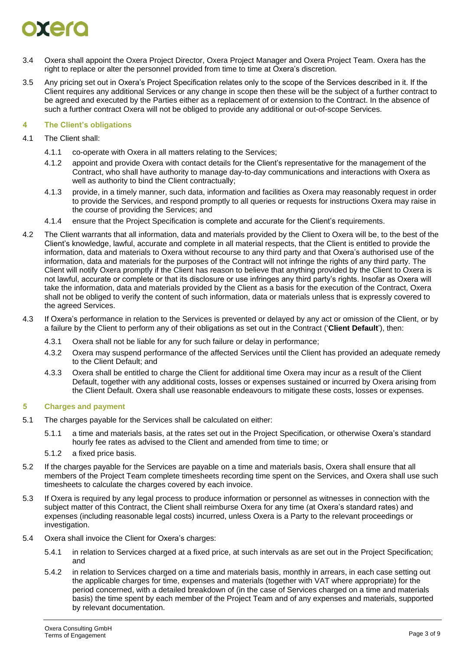# $\bullet$  and

- 3.4 Oxera shall appoint the Oxera Project Director, Oxera Project Manager and Oxera Project Team. Oxera has the right to replace or alter the personnel provided from time to time at Oxera's discretion.
- <span id="page-2-0"></span>3.5 Any pricing set out in Oxera's Project Specification relates only to the scope of the Services described in it. If the Client requires any additional Services or any change in scope then these will be the subject of a further contract to be agreed and executed by the Parties either as a replacement of or extension to the Contract. In the absence of such a further contract Oxera will not be obliged to provide any additional or out-of-scope Services.

# **4 The Client's obligations**

- 4.1 The Client shall:
	- 4.1.1 co-operate with Oxera in all matters relating to the Services;
	- 4.1.2 appoint and provide Oxera with contact details for the Client's representative for the management of the Contract, who shall have authority to manage day-to-day communications and interactions with Oxera as well as authority to bind the Client contractually;
	- 4.1.3 provide, in a timely manner, such data, information and facilities as Oxera may reasonably request in order to provide the Services, and respond promptly to all queries or requests for instructions Oxera may raise in the course of providing the Services; and
	- 4.1.4 ensure that the Project Specification is complete and accurate for the Client's requirements.
- 4.2 The Client warrants that all information, data and materials provided by the Client to Oxera will be, to the best of the Client's knowledge, lawful, accurate and complete in all material respects, that the Client is entitled to provide the information, data and materials to Oxera without recourse to any third party and that Oxera's authorised use of the information, data and materials for the purposes of the Contract will not infringe the rights of any third party. The Client will notify Oxera promptly if the Client has reason to believe that anything provided by the Client to Oxera is not lawful, accurate or complete or that its disclosure or use infringes any third party's rights. Insofar as Oxera will take the information, data and materials provided by the Client as a basis for the execution of the Contract, Oxera shall not be obliged to verify the content of such information, data or materials unless that is expressly covered to the agreed Services.
- 4.3 If Oxera's performance in relation to the Services is prevented or delayed by any act or omission of the Client, or by a failure by the Client to perform any of their obligations as set out in the Contract ('**Client Default**'), then:
	- 4.3.1 Oxera shall not be liable for any for such failure or delay in performance;
	- 4.3.2 Oxera may suspend performance of the affected Services until the Client has provided an adequate remedy to the Client Default; and
	- 4.3.3 Oxera shall be entitled to charge the Client for additional time Oxera may incur as a result of the Client Default, together with any additional costs, losses or expenses sustained or incurred by Oxera arising from the Client Default. Oxera shall use reasonable endeavours to mitigate these costs, losses or expenses.

### **5 Charges and payment**

- 5.1 The charges payable for the Services shall be calculated on either:
	- 5.1.1 a time and materials basis, at the rates set out in the Project Specification, or otherwise Oxera's standard hourly fee rates as advised to the Client and amended from time to time; or
	- 5.1.2 a fixed price basis.
- 5.2 If the charges payable for the Services are payable on a time and materials basis, Oxera shall ensure that all members of the Project Team complete timesheets recording time spent on the Services, and Oxera shall use such timesheets to calculate the charges covered by each invoice.
- 5.3 If Oxera is required by any legal process to produce information or personnel as witnesses in connection with the subject matter of this Contract, the Client shall reimburse Oxera for any time (at Oxera's standard rates) and expenses (including reasonable legal costs) incurred, unless Oxera is a Party to the relevant proceedings or investigation.
- 5.4 Oxera shall invoice the Client for Oxera's charges:
	- 5.4.1 in relation to Services charged at a fixed price, at such intervals as are set out in the Project Specification; and
	- 5.4.2 in relation to Services charged on a time and materials basis, monthly in arrears, in each case setting out the applicable charges for time, expenses and materials (together with VAT where appropriate) for the period concerned, with a detailed breakdown of (in the case of Services charged on a time and materials basis) the time spent by each member of the Project Team and of any expenses and materials, supported by relevant documentation.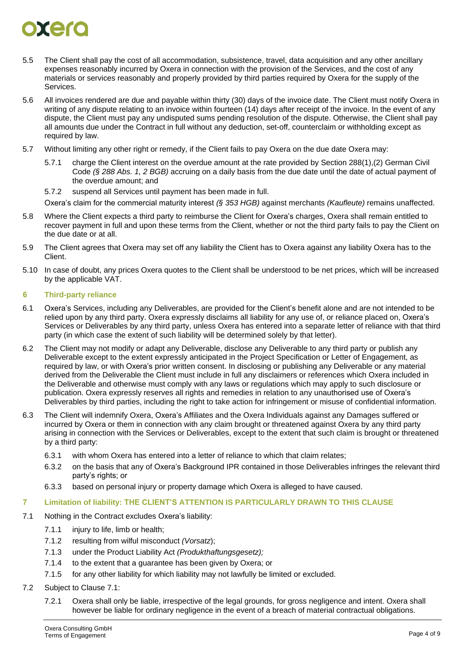# oxer

- 5.5 The Client shall pay the cost of all accommodation, subsistence, travel, data acquisition and any other ancillary expenses reasonably incurred by Oxera in connection with the provision of the Services, and the cost of any materials or services reasonably and properly provided by third parties required by Oxera for the supply of the Services.
- 5.6 All invoices rendered are due and payable within thirty (30) days of the invoice date. The Client must notify Oxera in writing of any dispute relating to an invoice within fourteen (14) days after receipt of the invoice. In the event of any dispute, the Client must pay any undisputed sums pending resolution of the dispute. Otherwise, the Client shall pay all amounts due under the Contract in full without any deduction, set-off, counterclaim or withholding except as required by law.
- 5.7 Without limiting any other right or remedy, if the Client fails to pay Oxera on the due date Oxera may:
	- 5.7.1 charge the Client interest on the overdue amount at the rate provided by Section 288(1),(2) German Civil Code *(§ 288 Abs. 1, 2 BGB)* accruing on a daily basis from the due date until the date of actual payment of the overdue amount; and
	- 5.7.2 suspend all Services until payment has been made in full.

Oxera's claim for the commercial maturity interest *(§ 353 HGB)* against merchants *(Kaufleute)* remains unaffected.

- 5.8 Where the Client expects a third party to reimburse the Client for Oxera's charges, Oxera shall remain entitled to recover payment in full and upon these terms from the Client, whether or not the third party fails to pay the Client on the due date or at all.
- 5.9 The Client agrees that Oxera may set off any liability the Client has to Oxera against any liability Oxera has to the Client.
- 5.10 In case of doubt, any prices Oxera quotes to the Client shall be understood to be net prices, which will be increased by the applicable VAT.

#### <span id="page-3-2"></span>**6 Third-party reliance**

- 6.1 Oxera's Services, including any Deliverables, are provided for the Client's benefit alone and are not intended to be relied upon by any third party. Oxera expressly disclaims all liability for any use of, or reliance placed on, Oxera's Services or Deliverables by any third party, unless Oxera has entered into a separate letter of reliance with that third party (in which case the extent of such liability will be determined solely by that letter).
- 6.2 The Client may not modify or adapt any Deliverable, disclose any Deliverable to any third party or publish any Deliverable except to the extent expressly anticipated in the Project Specification or Letter of Engagement, as required by law, or with Oxera's prior written consent. In disclosing or publishing any Deliverable or any material derived from the Deliverable the Client must include in full any disclaimers or references which Oxera included in the Deliverable and otherwise must comply with any laws or regulations which may apply to such disclosure or publication. Oxera expressly reserves all rights and remedies in relation to any unauthorised use of Oxera's Deliverables by third parties, including the right to take action for infringement or misuse of confidential information.
- <span id="page-3-3"></span>6.3 The Client will indemnify Oxera, Oxera's Affiliates and the Oxera Individuals against any Damages suffered or incurred by Oxera or them in connection with any claim brought or threatened against Oxera by any third party arising in connection with the Services or Deliverables, except to the extent that such claim is brought or threatened by a third party:
	- 6.3.1 with whom Oxera has entered into a letter of reliance to which that claim relates;
	- 6.3.2 on the basis that any of Oxera's Background IPR contained in those Deliverables infringes the relevant third party's rights; or
	- 6.3.3 based on personal injury or property damage which Oxera is alleged to have caused.

#### <span id="page-3-1"></span>**7 Limitation of liability: THE CLIENT'S ATTENTION IS PARTICULARLY DRAWN TO THIS CLAUSE**

- <span id="page-3-0"></span>7.1 Nothing in the Contract excludes Oxera's liability:
	- 7.1.1 injury to life, limb or health;
	- 7.1.2 resulting from wilful misconduct *(Vorsatz*);
	- 7.1.3 under the Product Liability Act *(Produkthaftungsgesetz);*
	- 7.1.4 to the extent that a guarantee has been given by Oxera; or
	- 7.1.5 for any other liability for which liability may not lawfully be limited or excluded.

#### 7.2 Subject to Clause [7.1:](#page-3-0)

7.2.1 Oxera shall only be liable, irrespective of the legal grounds, for gross negligence and intent. Oxera shall however be liable for ordinary negligence in the event of a breach of material contractual obligations.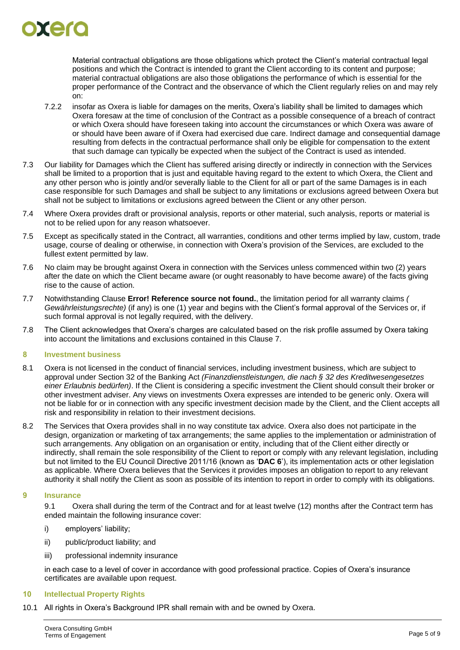

Material contractual obligations are those obligations which protect the Client's material contractual legal positions and which the Contract is intended to grant the Client according to its content and purpose; material contractual obligations are also those obligations the performance of which is essential for the proper performance of the Contract and the observance of which the Client regularly relies on and may rely on:

- 7.2.2 insofar as Oxera is liable for damages on the merits, Oxera's liability shall be limited to damages which Oxera foresaw at the time of conclusion of the Contract as a possible consequence of a breach of contract or which Oxera should have foreseen taking into account the circumstances or which Oxera was aware of or should have been aware of if Oxera had exercised due care. Indirect damage and consequential damage resulting from defects in the contractual performance shall only be eligible for compensation to the extent that such damage can typically be expected when the subject of the Contract is used as intended.
- 7.3 Our liability for Damages which the Client has suffered arising directly or indirectly in connection with the Services shall be limited to a proportion that is just and equitable having regard to the extent to which Oxera, the Client and any other person who is jointly and/or severally liable to the Client for all or part of the same Damages is in each case responsible for such Damages and shall be subject to any limitations or exclusions agreed between Oxera but shall not be subject to limitations or exclusions agreed between the Client or any other person.
- 7.4 Where Oxera provides draft or provisional analysis, reports or other material, such analysis, reports or material is not to be relied upon for any reason whatsoever.
- 7.5 Except as specifically stated in the Contract, all warranties, conditions and other terms implied by law, custom, trade usage, course of dealing or otherwise, in connection with Oxera's provision of the Services, are excluded to the fullest extent permitted by law.
- 7.6 No claim may be brought against Oxera in connection with the Services unless commenced within two (2) years after the date on which the Client became aware (or ought reasonably to have become aware) of the facts giving rise to the cause of action.
- 7.7 Notwithstanding Clause **Error! Reference source not found.**, the limitation period for all warranty claims *( Gewährleistungsrechte)* (if any) is one (1) year and begins with the Client's formal approval of the Services or, if such formal approval is not legally required, with the delivery.
- 7.8 The Client acknowledges that Oxera's charges are calculated based on the risk profile assumed by Oxera taking into account the limitations and exclusions contained in this Clause [7.](#page-3-1)

### **8 Investment business**

- 8.1 Oxera is not licensed in the conduct of financial services, including investment business, which are subject to approval under Section 32 of the Banking Act *(Finanzdienstleistungen, die nach § 32 des Kreditwesengesetzes einer Erlaubnis bedürfen)*. If the Client is considering a specific investment the Client should consult their broker or other investment adviser. Any views on investments Oxera expresses are intended to be generic only. Oxera will not be liable for or in connection with any specific investment decision made by the Client, and the Client accepts all risk and responsibility in relation to their investment decisions.
- 8.2 The Services that Oxera provides shall in no way constitute tax advice. Oxera also does not participate in the design, organization or marketing of tax arrangements; the same applies to the implementation or administration of such arrangements. Any obligation on an organisation or entity, including that of the Client either directly or indirectly, shall remain the sole responsibility of the Client to report or comply with any relevant legislation, including but not limited to the EU Council Directive 2011/16 (known as '**DAC 6**'), its implementation acts or other legislation as applicable. Where Oxera believes that the Services it provides imposes an obligation to report to any relevant authority it shall notify the Client as soon as possible of its intention to report in order to comply with its obligations.

### **9 Insurance**

9.1 Oxera shall during the term of the Contract and for at least twelve (12) months after the Contract term has ended maintain the following insurance cover:

- i) employers' liability;
- ii) public/product liability; and
- iii) professional indemnity insurance

in each case to a level of cover in accordance with good professional practice. Copies of Oxera's insurance certificates are available upon request.

#### **10 Intellectual Property Rights**

<span id="page-4-0"></span>10.1 All rights in Oxera's Background IPR shall remain with and be owned by Oxera.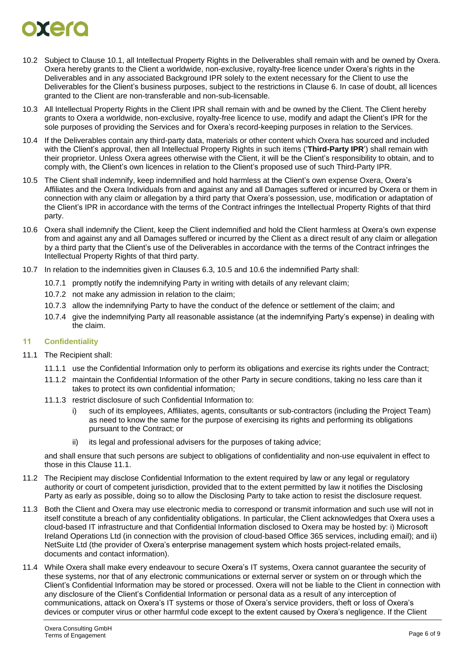# orero

- 10.2 Subject to Clause [10.1,](#page-4-0) all Intellectual Property Rights in the Deliverables shall remain with and be owned by Oxera. Oxera hereby grants to the Client a worldwide, non-exclusive, royalty-free licence under Oxera's rights in the Deliverables and in any associated Background IPR solely to the extent necessary for the Client to use the Deliverables for the Client's business purposes, subject to the restrictions in Clause [6.](#page-3-2) In case of doubt, all licences granted to the Client are non-transferable and non-sub-licensable.
- 10.3 All Intellectual Property Rights in the Client IPR shall remain with and be owned by the Client. The Client hereby grants to Oxera a worldwide, non-exclusive, royalty-free licence to use, modify and adapt the Client's IPR for the sole purposes of providing the Services and for Oxera's record-keeping purposes in relation to the Services.
- 10.4 If the Deliverables contain any third-party data, materials or other content which Oxera has sourced and included with the Client's approval, then all Intellectual Property Rights in such items ('**Third-Party IPR**') shall remain with their proprietor. Unless Oxera agrees otherwise with the Client, it will be the Client's responsibility to obtain, and to comply with, the Client's own licences in relation to the Client's proposed use of such Third-Party IPR.
- <span id="page-5-0"></span>10.5 The Client shall indemnify, keep indemnified and hold harmless at the Client's own expense Oxera, Oxera's Affiliates and the Oxera Individuals from and against any and all Damages suffered or incurred by Oxera or them in connection with any claim or allegation by a third party that Oxera's possession, use, modification or adaptation of the Client's IPR in accordance with the terms of the Contract infringes the Intellectual Property Rights of that third party.
- <span id="page-5-1"></span>10.6 Oxera shall indemnify the Client, keep the Client indemnified and hold the Client harmless at Oxera's own expense from and against any and all Damages suffered or incurred by the Client as a direct result of any claim or allegation by a third party that the Client's use of the Deliverables in accordance with the terms of the Contract infringes the Intellectual Property Rights of that third party.
- 10.7 In relation to the indemnities given in Clauses [6.3,](#page-3-3) [10.5](#page-5-0) and [10.6](#page-5-1) the indemnified Party shall:
	- 10.7.1 promptly notify the indemnifying Party in writing with details of any relevant claim;
	- 10.7.2 not make any admission in relation to the claim;
	- 10.7.3 allow the indemnifying Party to have the conduct of the defence or settlement of the claim; and
	- 10.7.4 give the indemnifying Party all reasonable assistance (at the indemnifying Party's expense) in dealing with the claim.

# **11 Confidentiality**

- <span id="page-5-2"></span>11.1 The Recipient shall:
	- 11.1.1 use the Confidential Information only to perform its obligations and exercise its rights under the Contract;
	- 11.1.2 maintain the Confidential Information of the other Party in secure conditions, taking no less care than it takes to protect its own confidential information;
	- 11.1.3 restrict disclosure of such Confidential Information to:
		- i) such of its employees, Affiliates, agents, consultants or sub-contractors (including the Project Team) as need to know the same for the purpose of exercising its rights and performing its obligations pursuant to the Contract; or
		- ii) its legal and professional advisers for the purposes of taking advice;

and shall ensure that such persons are subject to obligations of confidentiality and non-use equivalent in effect to those in this Clause [11.1.](#page-5-2)

- 11.2 The Recipient may disclose Confidential Information to the extent required by law or any legal or regulatory authority or court of competent jurisdiction, provided that to the extent permitted by law it notifies the Disclosing Party as early as possible, doing so to allow the Disclosing Party to take action to resist the disclosure request.
- 11.3 Both the Client and Oxera may use electronic media to correspond or transmit information and such use will not in itself constitute a breach of any confidentiality obligations. In particular, the Client acknowledges that Oxera uses a cloud-based IT infrastructure and that Confidential Information disclosed to Oxera may be hosted by: i) Microsoft Ireland Operations Ltd (in connection with the provision of cloud-based Office 365 services, including email); and ii) NetSuite Ltd (the provider of Oxera's enterprise management system which hosts project-related emails, documents and contact information).
- 11.4 While Oxera shall make every endeavour to secure Oxera's IT systems, Oxera cannot guarantee the security of these systems, nor that of any electronic communications or external server or system on or through which the Client's Confidential Information may be stored or processed. Oxera will not be liable to the Client in connection with any disclosure of the Client's Confidential Information or personal data as a result of any interception of communications, attack on Oxera's IT systems or those of Oxera's service providers, theft or loss of Oxera's devices or computer virus or other harmful code except to the extent caused by Oxera's negligence. If the Client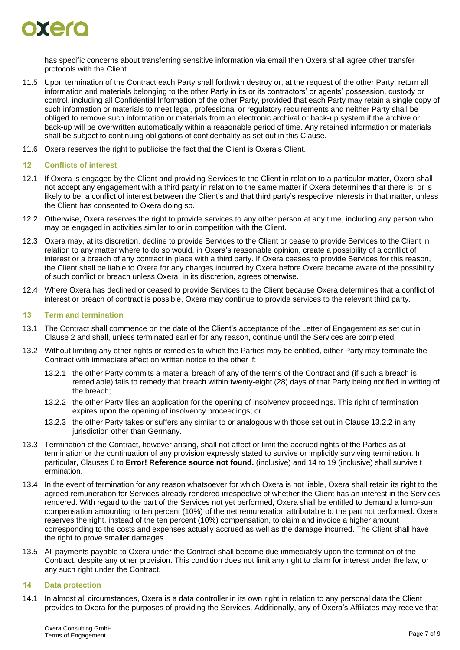

has specific concerns about transferring sensitive information via email then Oxera shall agree other transfer protocols with the Client.

- 11.5 Upon termination of the Contract each Party shall forthwith destroy or, at the request of the other Party, return all information and materials belonging to the other Party in its or its contractors' or agents' possession, custody or control, including all Confidential Information of the other Party, provided that each Party may retain a single copy of such information or materials to meet legal, professional or regulatory requirements and neither Party shall be obliged to remove such information or materials from an electronic archival or back-up system if the archive or back-up will be overwritten automatically within a reasonable period of time. Any retained information or materials shall be subject to continuing obligations of confidentiality as set out in this Clause.
- 11.6 Oxera reserves the right to publicise the fact that the Client is Oxera's Client.

#### **12 Conflicts of interest**

- 12.1 If Oxera is engaged by the Client and providing Services to the Client in relation to a particular matter, Oxera shall not accept any engagement with a third party in relation to the same matter if Oxera determines that there is, or is likely to be, a conflict of interest between the Client's and that third party's respective interests in that matter, unless the Client has consented to Oxera doing so.
- 12.2 Otherwise, Oxera reserves the right to provide services to any other person at any time, including any person who may be engaged in activities similar to or in competition with the Client.
- 12.3 Oxera may, at its discretion, decline to provide Services to the Client or cease to provide Services to the Client in relation to any matter where to do so would, in Oxera's reasonable opinion, create a possibility of a conflict of interest or a breach of any contract in place with a third party. If Oxera ceases to provide Services for this reason, the Client shall be liable to Oxera for any charges incurred by Oxera before Oxera became aware of the possibility of such conflict or breach unless Oxera, in its discretion, agrees otherwise.
- 12.4 Where Oxera has declined or ceased to provide Services to the Client because Oxera determines that a conflict of interest or breach of contract is possible, Oxera may continue to provide services to the relevant third party.

#### **13 Term and termination**

- 13.1 The Contract shall commence on the date of the Client's acceptance of the Letter of Engagement as set out in Clause [2](#page-1-0) and shall, unless terminated earlier for any reason, continue until the Services are completed.
- 13.2 Without limiting any other rights or remedies to which the Parties may be entitled, either Party may terminate the Contract with immediate effect on written notice to the other if:
	- 13.2.1 the other Party commits a material breach of any of the terms of the Contract and (if such a breach is remediable) fails to remedy that breach within twenty-eight (28) days of that Party being notified in writing of the breach;
	- 13.2.2 the other Party files an application for the opening of insolvency proceedings. This right of termination expires upon the opening of insolvency proceedings; or
	- 13.2.3 the other Party takes or suffers any similar to or analogous with those set out in Clause [13.2.2](#page-6-0) in any jurisdiction other than Germany.
- <span id="page-6-0"></span>13.3 Termination of the Contract, however arising, shall not affect or limit the accrued rights of the Parties as at termination or the continuation of any provision expressly stated to survive or implicitly surviving termination. In particular, Clauses [6](#page-3-2) to **Error! Reference source not found.** (inclusive) and [14](#page-6-1) to [19](#page-7-0) (inclusive) shall survive t ermination.
- 13.4 In the event of termination for any reason whatsoever for which Oxera is not liable, Oxera shall retain its right to the agreed remuneration for Services already rendered irrespective of whether the Client has an interest in the Services rendered. With regard to the part of the Services not yet performed, Oxera shall be entitled to demand a lump-sum compensation amounting to ten percent (10%) of the net remuneration attributable to the part not performed. Oxera reserves the right, instead of the ten percent (10%) compensation, to claim and invoice a higher amount corresponding to the costs and expenses actually accrued as well as the damage incurred. The Client shall have the right to prove smaller damages.
- 13.5 All payments payable to Oxera under the Contract shall become due immediately upon the termination of the Contract, despite any other provision. This condition does not limit any right to claim for interest under the law, or any such right under the Contract.

# <span id="page-6-1"></span>**14 Data protection**

14.1 In almost all circumstances, Oxera is a data controller in its own right in relation to any personal data the Client provides to Oxera for the purposes of providing the Services. Additionally, any of Oxera's Affiliates may receive that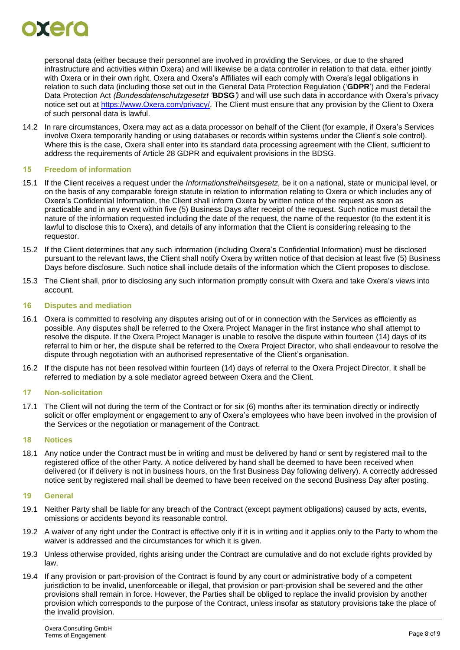

personal data (either because their personnel are involved in providing the Services, or due to the shared infrastructure and activities within Oxera) and will likewise be a data controller in relation to that data, either jointly with Oxera or in their own right. Oxera and Oxera's Affiliates will each comply with Oxera's legal obligations in relation to such data (including those set out in the General Data Protection Regulation ('**GDPR**') and the Federal Data Protection Act *(Bundesdatenschutzgesetzt '***BDSG***')* and will use such data in accordance with Oxera's privacy notice set out at [https://www.Oxera.com/privacy/.](https://www.oxera.com/privacy/) The Client must ensure that any provision by the Client to Oxera of such personal data is lawful.

14.2 In rare circumstances, Oxera may act as a data processor on behalf of the Client (for example, if Oxera's Services involve Oxera temporarily handing or using databases or records within systems under the Client's sole control). Where this is the case, Oxera shall enter into its standard data processing agreement with the Client, sufficient to address the requirements of Article 28 GDPR and equivalent provisions in the BDSG.

#### **15 Freedom of information**

- 15.1 If the Client receives a request under the *Informationsfreiheitsgesetz,* be it on a national, state or municipal level, or on the basis of any comparable foreign statute in relation to information relating to Oxera or which includes any of Oxera's Confidential Information, the Client shall inform Oxera by written notice of the request as soon as practicable and in any event within five (5) Business Days after receipt of the request. Such notice must detail the nature of the information requested including the date of the request, the name of the requestor (to the extent it is lawful to disclose this to Oxera), and details of any information that the Client is considering releasing to the requestor.
- 15.2 If the Client determines that any such information (including Oxera's Confidential Information) must be disclosed pursuant to the relevant laws, the Client shall notify Oxera by written notice of that decision at least five (5) Business Days before disclosure. Such notice shall include details of the information which the Client proposes to disclose.
- 15.3 The Client shall, prior to disclosing any such information promptly consult with Oxera and take Oxera's views into account.

#### **16 Disputes and mediation**

- 16.1 Oxera is committed to resolving any disputes arising out of or in connection with the Services as efficiently as possible. Any disputes shall be referred to the Oxera Project Manager in the first instance who shall attempt to resolve the dispute. If the Oxera Project Manager is unable to resolve the dispute within fourteen (14) days of its referral to him or her, the dispute shall be referred to the Oxera Project Director, who shall endeavour to resolve the dispute through negotiation with an authorised representative of the Client's organisation.
- 16.2 If the dispute has not been resolved within fourteen (14) days of referral to the Oxera Project Director, it shall be referred to mediation by a sole mediator agreed between Oxera and the Client.

### **17 Non-solicitation**

17.1 The Client will not during the term of the Contract or for six (6) months after its termination directly or indirectly solicit or offer employment or engagement to any of Oxera's employees who have been involved in the provision of the Services or the negotiation or management of the Contract.

#### **18 Notices**

18.1 Any notice under the Contract must be in writing and must be delivered by hand or sent by registered mail to the registered office of the other Party. A notice delivered by hand shall be deemed to have been received when delivered (or if delivery is not in business hours, on the first Business Day following delivery). A correctly addressed notice sent by registered mail shall be deemed to have been received on the second Business Day after posting.

#### <span id="page-7-0"></span>**19 General**

- 19.1 Neither Party shall be liable for any breach of the Contract (except payment obligations) caused by acts, events, omissions or accidents beyond its reasonable control.
- 19.2 A waiver of any right under the Contract is effective only if it is in writing and it applies only to the Party to whom the waiver is addressed and the circumstances for which it is given.
- 19.3 Unless otherwise provided, rights arising under the Contract are cumulative and do not exclude rights provided by law.
- 19.4 If any provision or part-provision of the Contract is found by any court or administrative body of a competent jurisdiction to be invalid, unenforceable or illegal, that provision or part-provision shall be severed and the other provisions shall remain in force. However, the Parties shall be obliged to replace the invalid provision by another provision which corresponds to the purpose of the Contract, unless insofar as statutory provisions take the place of the invalid provision.